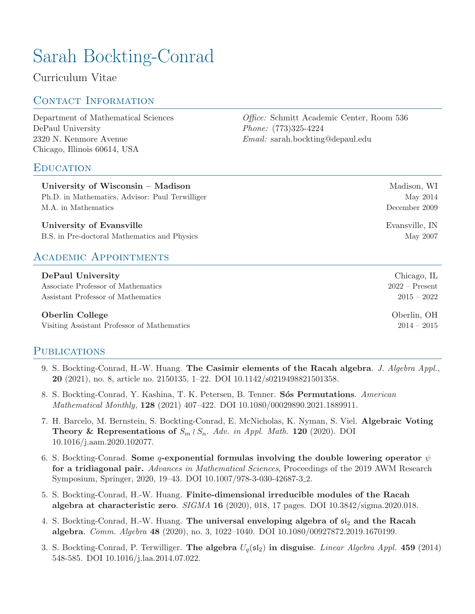# Sarah Bockting-Conrad

Curriculum Vitae

# CONTACT INFORMATION

[Department of Mathematical Sciences](http://go.depaul.edu/math) [DePaul University](http://www.depaul.edu/) 2320 N. Kenmore Avenue Chicago, Illinois 60614, USA

### **EDUCATION**

Office: Schmitt Academic Center, Room 536 Phone: (773)325-4224 Email: [sarah.bockting@depaul.edu](mailto:sarah.bockting@depaul.edu)

| University of Wisconsin $-$ Madison             | Madison, WI      |
|-------------------------------------------------|------------------|
| Ph.D. in Mathematics, Advisor: Paul Terwilliger | May 2014         |
| M.A. in Mathematics                             | December 2009    |
| University of Evansville                        | Evansville, IN   |
| B.S. in Pre-doctoral Mathematics and Physics    | May 2007         |
| <b>ACADEMIC APPOINTMENTS</b>                    |                  |
| DePaul University                               | Chicago, IL      |
| Associate Professor of Mathematics              | $2022 -$ Present |

Assistant Professor of Mathematics 2015 – 2022

#### Oberlin College Oberlin, OH

Visiting Assistant Professor of Mathematics 2014 – 2015

### PUBLICATIONS

- 9. S. Bockting-Conrad, H.-W. Huang. [The Casimir elements of the Racah algebra](https://arxiv.org/abs/1711.09574v3.pdf). J. Algebra Appl., 20 (2021), no. 8, article no. 2150135, 1–22. [DOI 10.1142/s0219498821501358.](https://doi.org/10.1142/s0219498821501358)
- 8. S. Bockting-Conrad, Y. Kashina, T. K. Petersen, B. Tenner. Sós Permutations. American Mathematical Monthly, 128 (2021) 407–422. [DOI 10.1080/00029890.2021.1889911.](https://doi.org/10.1080/00029890.2021.1889911)
- 7. H. Barcelo, M. Bernstein, S. Bockting-Conrad, E. McNicholas, K. Nyman, S. Viel. [Algebraic Voting](https://arxiv.org/abs/1807.03743) [Theory & Representations of](https://arxiv.org/abs/1807.03743)  $S_m \wr S_n$ . Adv. in Appl. Math. 120 (2020). [DOI](https://doi.org/10.1016/j.aam.2020.102077) [10.1016/j.aam.2020.102077.](https://doi.org/10.1016/j.aam.2020.102077)
- 6. S. Bockting-Conrad. Some q[-exponential formulas involving the double lowering operator](https://arxiv.org/pdf/1907.01157v2.pdf)  $\psi$ [for a tridiagonal pair.](https://arxiv.org/pdf/1907.01157v2.pdf) Advances in Mathematical Sciences, Proceedings of the 2019 AWM Research Symposium, Springer, 2020, 19–43. [DOI 10.1007/978-3-030-42687-3](https://doi.org/10.1007/978-3-030-42687-3_2) 2.
- 5. S. Bockting-Conrad, H.-W. Huang. [Finite-dimensional irreducible modules of the Racah](https://arxiv.org/abs/1910.11446v2.pdf) [algebra at characteristic zero](https://arxiv.org/abs/1910.11446v2.pdf).  $SIGMA$  16 (2020), 018, 17 pages. [DOI 10.3842/sigma.2020.018.](https://doi.org/10.3842/sigma.2020.018)
- 4. S. Bockting-Conrad, H.-W. Huang. [The universal enveloping algebra of](https://arxiv.org/pdf/1907.02135v1.pdf)  $sI_2$  and the Racah [algebra](https://arxiv.org/pdf/1907.02135v1.pdf). Comm. Algebra 48 (2020), no. 3, 1022–1040. [DOI 10.1080/00927872.2019.1670199.](https://doi.org/10.1080/00927872.2019.1670199)
- 3. S. Bockting-Conrad, P. Terwilliger. [The algebra](http://arxiv.org/abs/1307.7572)  $U_q(\mathfrak{sl}_2)$  in disguise. Linear Algebra Appl. 459 (2014) 548-585. [DOI 10.1016/j.laa.2014.07.022.](https://doi.org/10.1016/j.laa.2014.07.022)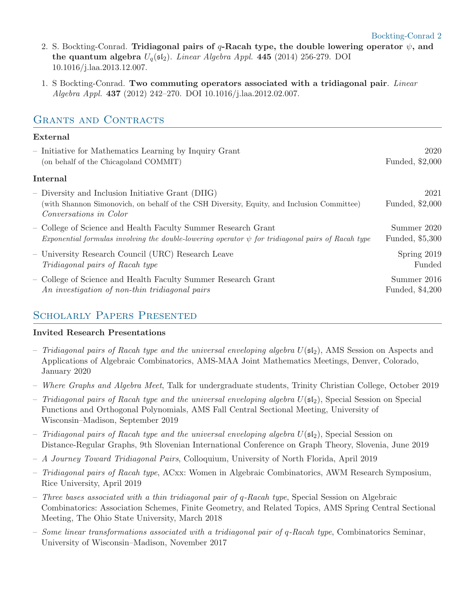- 2. S. Bockting-Conrad. Tridiagonal pairs of q[-Racah type, the double lowering operator](http://arxiv.org/abs/arXiv:1307.7410)  $\psi$ , and [the quantum algebra](http://arxiv.org/abs/arXiv:1307.7410)  $U_q(\mathfrak{sl}_2)$ . Linear Algebra Appl. 445 (2014) 256-279. [DOI](https://doi.org/10.1016/j.laa.2013.12.007) [10.1016/j.laa.2013.12.007.](https://doi.org/10.1016/j.laa.2013.12.007)
- 1. S Bockting-Conrad. [Two commuting operators associated with a tridiagonal pair](http://arxiv.org/abs/1110.3434). Linear Algebra Appl. 437 (2012) 242–270. [DOI 10.1016/j.laa.2012.02.007.](https://doi.org/10.1016/j.laa.2012.02.007)

# GRANTS AND CONTRACTS

### External

| 2020<br>Funded, \$2,000        |
|--------------------------------|
|                                |
| 2021<br>Funded, \$2,000        |
| Summer 2020<br>Funded, \$5,300 |
| Spring 2019<br>Funded          |
| Summer 2016<br>Funded, \$4,200 |
|                                |

# Scholarly Papers Presented

### Invited Research Presentations

- Tridiagonal pairs of Racah type and the universal enveloping algebra  $U(\mathfrak{sl}_2)$ , AMS Session on Aspects and Applications of Algebraic Combinatorics, AMS-MAA Joint Mathematics Meetings, Denver, Colorado, January 2020
- Where Graphs and Algebra Meet, Talk for undergraduate students, Trinity Christian College, October 2019
- Tridiagonal pairs of Racah type and the universal enveloping algebra  $U(\mathfrak{sl}_2)$ , Special Session on Special Functions and Orthogonal Polynomials, AMS Fall Central Sectional Meeting, University of Wisconsin–Madison, September 2019
- Tridiagonal pairs of Racah type and the universal enveloping algebra  $U(\mathfrak{sl}_2)$ , Special Session on Distance-Regular Graphs, 9th Slovenian International Conference on Graph Theory, Slovenia, June 2019
- A Journey Toward Tridiagonal Pairs, Colloquium, University of North Florida, April 2019
- Tridiagonal pairs of Racah type, ACxx: Women in Algebraic Combinatorics, AWM Research Symposium, Rice University, April 2019
- $-$  Three bases associated with a thin tridiagonal pair of q-Racah type, Special Session on Algebraic Combinatorics: Association Schemes, Finite Geometry, and Related Topics, AMS Spring Central Sectional Meeting, The Ohio State University, March 2018
- Some linear transformations associated with a tridiagonal pair of  $q$ -Racah type, Combinatorics Seminar, University of Wisconsin–Madison, November 2017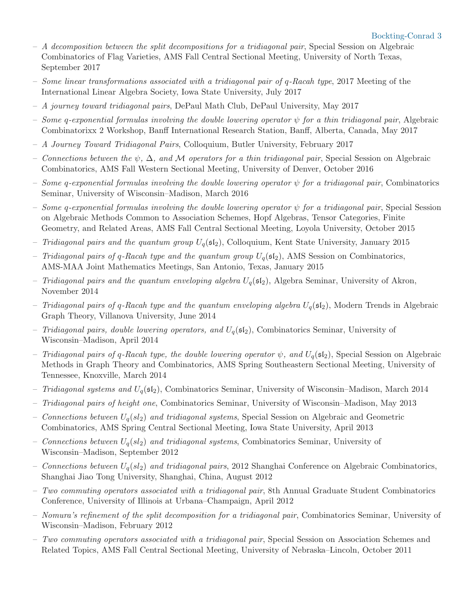- $A$  decomposition between the split decompositions for a tridiagonal pair, Special Session on Algebraic Combinatorics of Flag Varieties, AMS Fall Central Sectional Meeting, University of North Texas, September 2017
- Some linear transformations associated with a tridiagonal pair of  $q$ -Racah type, 2017 Meeting of the International Linear Algebra Society, Iowa State University, July 2017
- A journey toward tridiagonal pairs, DePaul Math Club, DePaul University, May 2017
- Some q-exponential formulas involving the double lowering operator  $\psi$  for a thin tridiagonal pair, Algebraic Combinatorixx 2 Workshop, Banff International Research Station, Banff, Alberta, Canada, May 2017
- A Journey Toward Tridiagonal Pairs, Colloquium, Butler University, February 2017
- Connections between the  $\psi$ ,  $\Delta$ , and M operators for a thin tridiagonal pair, Special Session on Algebraic Combinatorics, AMS Fall Western Sectional Meeting, University of Denver, October 2016
- Some q-exponential formulas involving the double lowering operator  $\psi$  for a tridiagonal pair, Combinatorics Seminar, University of Wisconsin–Madison, March 2016
- Some q-exponential formulas involving the double lowering operator  $\psi$  for a tridiagonal pair, Special Session on Algebraic Methods Common to Association Schemes, Hopf Algebras, Tensor Categories, Finite Geometry, and Related Areas, AMS Fall Central Sectional Meeting, Loyola University, October 2015
- Tridiagonal pairs and the quantum group  $U_q(\mathfrak{sl}_2)$ , Colloquium, Kent State University, January 2015
- Tridiagonal pairs of q-Racah type and the quantum group  $U_q(\mathfrak{sl}_2)$ , AMS Session on Combinatorics, AMS-MAA Joint Mathematics Meetings, San Antonio, Texas, January 2015
- Tridiagonal pairs and the quantum enveloping algebra  $U_q(\mathfrak{sl}_2)$ , Algebra Seminar, University of Akron, November 2014
- Tridiagonal pairs of q-Racah type and the quantum enveloping algebra  $U_q(\mathfrak{sl}_2)$ , Modern Trends in Algebraic Graph Theory, Villanova University, June 2014
- Tridiagonal pairs, double lowering operators, and  $U_q(\mathfrak{sl}_2)$ , Combinatorics Seminar, University of Wisconsin–Madison, April 2014
- Tridiagonal pairs of q-Racah type, the double lowering operator  $\psi$ , and  $U_q(\mathfrak{sl}_2)$ , Special Session on Algebraic Methods in Graph Theory and Combinatorics, AMS Spring Southeastern Sectional Meeting, University of Tennessee, Knoxville, March 2014
- Tridiagonal systems and  $U_q(\mathfrak{sl}_2)$ , Combinatorics Seminar, University of Wisconsin–Madison, March 2014
- Tridiagonal pairs of height one, Combinatorics Seminar, University of Wisconsin–Madison, May 2013
- Connections between  $U_q(sl_2)$  and tridiagonal systems, Special Session on Algebraic and Geometric Combinatorics, AMS Spring Central Sectional Meeting, Iowa State University, April 2013
- Connections between  $U_q(sl_2)$  and tridiagonal systems, Combinatorics Seminar, University of Wisconsin–Madison, September 2012
- Connections between  $U_q(sl_2)$  and tridiagonal pairs, 2012 Shanghai Conference on Algebraic Combinatorics, Shanghai Jiao Tong University, Shanghai, China, August 2012
- $-$  Two commuting operators associated with a tridiagonal pair, 8th Annual Graduate Student Combinatorics Conference, University of Illinois at Urbana–Champaign, April 2012
- Nomura's refinement of the split decomposition for a tridiagonal pair, Combinatorics Seminar, University of Wisconsin–Madison, February 2012
- Two commuting operators associated with a tridiagonal pair, Special Session on Association Schemes and Related Topics, AMS Fall Central Sectional Meeting, University of Nebraska–Lincoln, October 2011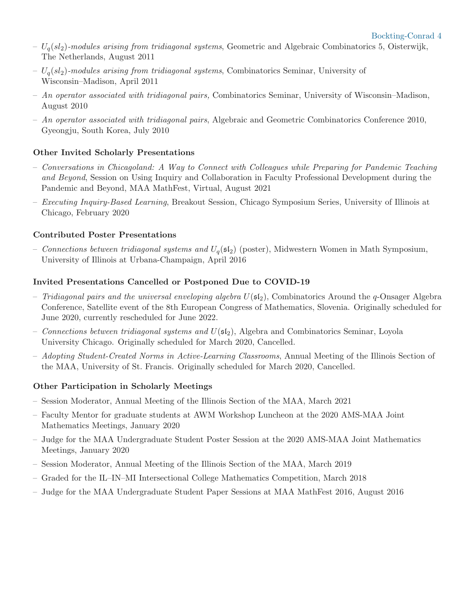- $-U_q(sl_2)$ -modules arising from tridiagonal systems, Geometric and Algebraic Combinatorics 5, Oisterwijk, The Netherlands, August 2011
- $U_q(sl_2)$ -modules arising from tridiagonal systems, Combinatorics Seminar, University of Wisconsin–Madison, April 2011
- $An operator associated with tridiagonal pairs, Combinatorics, Seminar, University of Wisconsin–Madison,$ August 2010
- An operator associated with tridiagonal pairs, Algebraic and Geometric Combinatorics Conference 2010, Gyeongju, South Korea, July 2010

#### Other Invited Scholarly Presentations

- Conversations in Chicagoland: A Way to Connect with Colleagues while Preparing for Pandemic Teaching and Beyond, Session on Using Inquiry and Collaboration in Faculty Professional Development during the Pandemic and Beyond, MAA MathFest, Virtual, August 2021
- $-$  Executing Inquiry-Based Learning, Breakout Session, Chicago Symposium Series, University of Illinois at Chicago, February 2020

### Contributed Poster Presentations

– Connections between tridiagonal systems and  $U_q(\mathfrak{sl}_2)$  (poster), Midwestern Women in Math Symposium, University of Illinois at Urbana-Champaign, April 2016

#### Invited Presentations Cancelled or Postponed Due to COVID-19

- Tridiagonal pairs and the universal enveloping algebra  $U(\mathfrak{sl}_2)$ , Combinatorics Around the q-Onsager Algebra Conference, Satellite event of the 8th European Congress of Mathematics, Slovenia. Originally scheduled for June 2020, currently rescheduled for June 2022.
- Connections between tridiagonal systems and  $U(s_1)$ , Algebra and Combinatorics Seminar, Loyola University Chicago. Originally scheduled for March 2020, Cancelled.
- Adopting Student-Created Norms in Active-Learning Classrooms, Annual Meeting of the Illinois Section of the MAA, University of St. Francis. Originally scheduled for March 2020, Cancelled.

#### Other Participation in Scholarly Meetings

- Session Moderator, Annual Meeting of the Illinois Section of the MAA, March 2021
- Faculty Mentor for graduate students at AWM Workshop Luncheon at the 2020 AMS-MAA Joint Mathematics Meetings, January 2020
- Judge for the MAA Undergraduate Student Poster Session at the 2020 AMS-MAA Joint Mathematics Meetings, January 2020
- Session Moderator, Annual Meeting of the Illinois Section of the MAA, March 2019
- Graded for the IL–IN–MI Intersectional College Mathematics Competition, March 2018
- Judge for the MAA Undergraduate Student Paper Sessions at MAA MathFest 2016, August 2016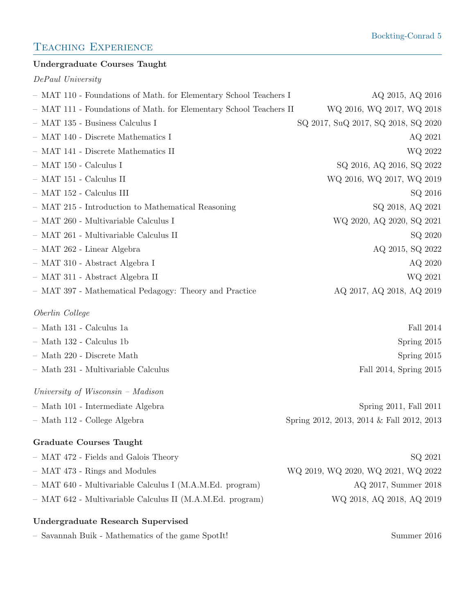# TEACHING EXPERIENCE

### Undergraduate Courses Taught

DePaul University

| - MAT 110 - Foundations of Math. for Elementary School Teachers I  | AQ 2015, AQ 2016                          |
|--------------------------------------------------------------------|-------------------------------------------|
| - MAT 111 - Foundations of Math. for Elementary School Teachers II | WQ 2016, WQ 2017, WQ 2018                 |
| - MAT 135 - Business Calculus I                                    | SQ 2017, SuQ 2017, SQ 2018, SQ 2020       |
| - MAT 140 - Discrete Mathematics I                                 | AQ 2021                                   |
| - MAT 141 - Discrete Mathematics II                                | WQ 2022                                   |
| $-$ MAT 150 - Calculus I                                           | SQ 2016, AQ 2016, SQ 2022                 |
| $-$ MAT 151 - Calculus II                                          | WQ 2016, WQ 2017, WQ 2019                 |
| - MAT 152 - Calculus III                                           | SQ 2016                                   |
| - MAT 215 - Introduction to Mathematical Reasoning                 | SQ 2018, AQ 2021                          |
| - MAT 260 - Multivariable Calculus I                               | WQ 2020, AQ 2020, SQ 2021                 |
| - MAT 261 - Multivariable Calculus II                              | SQ 2020                                   |
| - MAT 262 - Linear Algebra                                         | AQ 2015, SQ 2022                          |
| - MAT 310 - Abstract Algebra I                                     | AQ 2020                                   |
| - MAT 311 - Abstract Algebra II                                    | WQ 2021                                   |
| - MAT 397 - Mathematical Pedagogy: Theory and Practice             | AQ 2017, AQ 2018, AQ 2019                 |
| Oberlin College                                                    |                                           |
| $-$ Math 131 - Calculus 1a                                         | Fall 2014                                 |
| - Math 132 - Calculus 1b                                           | Spring 2015                               |
| - Math 220 - Discrete Math                                         | Spring 2015                               |
| - Math 231 - Multivariable Calculus                                | Fall 2014, Spring 2015                    |
| University of Wisconsin - Madison                                  |                                           |
| - Math 101 - Intermediate Algebra                                  | Spring 2011, Fall 2011                    |
| - Math 112 - College Algebra                                       | Spring 2012, 2013, 2014 & Fall 2012, 2013 |
| <b>Graduate Courses Taught</b>                                     |                                           |
| - MAT 472 - Fields and Galois Theory                               | SQ 2021                                   |
| - MAT 473 - Rings and Modules                                      | WQ 2019, WQ 2020, WQ 2021, WQ 2022        |
| - MAT 640 - Multivariable Calculus I (M.A.M.Ed. program)           | AQ 2017, Summer 2018                      |
| - MAT 642 - Multivariable Calculus II (M.A.M.Ed. program)          | WQ 2018, AQ 2018, AQ 2019                 |
|                                                                    |                                           |

# Undergraduate Research Supervised

– Savannah Buik - Mathematics of the game SpotIt! Summer 2016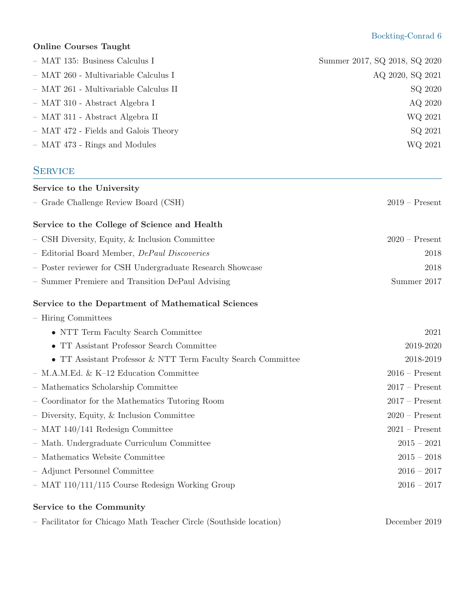### Online Courses Taught

| - MAT 135: Business Calculus I                            | Summer 2017, SQ 2018, SQ 2020 |
|-----------------------------------------------------------|-------------------------------|
| - MAT 260 - Multivariable Calculus I                      | AQ 2020, SQ 2021              |
| - MAT 261 - Multivariable Calculus II                     | SQ 2020                       |
| - MAT 310 - Abstract Algebra I                            | AQ 2020                       |
| - MAT 311 - Abstract Algebra II                           | WQ 2021                       |
| - MAT 472 - Fields and Galois Theory                      | SQ 2021                       |
| - MAT 473 - Rings and Modules                             | WQ 2021                       |
| <b>SERVICE</b>                                            |                               |
| Service to the University                                 |                               |
| - Grade Challenge Review Board (CSH)                      | $2019 -$ Present              |
| Service to the College of Science and Health              |                               |
| - CSH Diversity, Equity, & Inclusion Committee            | $2020$ – Present              |
| - Editorial Board Member, <i>DePaul Discoveries</i>       | 2018                          |
| - Poster reviewer for CSH Undergraduate Research Showcase | 2018                          |
| - Summer Premiere and Transition DePaul Advising          | Summer 2017                   |
|                                                           |                               |

# Service to the Department of Mathematical Sciences

| - Hiring Committees                                                    |                  |
|------------------------------------------------------------------------|------------------|
| • NTT Term Faculty Search Committee                                    | 2021             |
| • TT Assistant Professor Search Committee                              | 2019-2020        |
| $\bullet\,$ TT Assistant Professor & NTT Term Faculty Search Committee | 2018-2019        |
| $-$ M.A.M.Ed. & K-12 Education Committee                               | $2016$ – Present |
| - Mathematics Scholarship Committee                                    | $2017 -$ Present |
| - Coordinator for the Mathematics Tutoring Room                        | $2017 -$ Present |
| - Diversity, Equity, & Inclusion Committee                             | $2020$ – Present |
| $-$ MAT 140/141 Redesign Committee                                     | $2021 -$ Present |
| - Math. Undergraduate Curriculum Committee                             | $2015 - 2021$    |
| - Mathematics Website Committee                                        | $2015 - 2018$    |
| - Adjunct Personnel Committee                                          | $2016 - 2017$    |
| $-$ MAT 110/111/115 Course Redesign Working Group                      | $2016 - 2017$    |
|                                                                        |                  |

### Service to the Community

|  |  | - Facilitator for Chicago Math Teacher Circle (Southside location) | December 2019 |
|--|--|--------------------------------------------------------------------|---------------|
|  |  |                                                                    |               |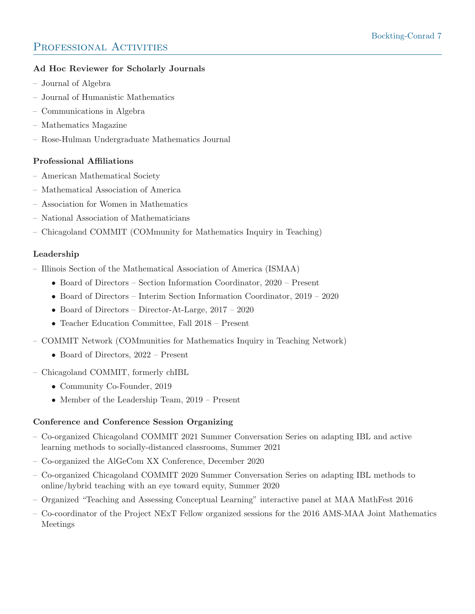# PROFESSIONAL ACTIVITIES

### Ad Hoc Reviewer for Scholarly Journals

- Journal of Algebra
- Journal of Humanistic Mathematics
- Communications in Algebra
- Mathematics Magazine
- Rose-Hulman Undergraduate Mathematics Journal

### Professional Affiliations

- American Mathematical Society
- Mathematical Association of America
- Association for Women in Mathematics
- National Association of Mathematicians
- Chicagoland COMMIT (COMmunity for Mathematics Inquiry in Teaching)

### Leadership

- [Illinois Section of the Mathematical Association of America \(ISMAA\)](http://sections.maa.org/illinois/)
	- Board of Directors Section Information Coordinator, 2020 Present
	- Board of Directors Interim Section Information Coordinator, 2019 2020
	- Board of Directors Director-At-Large, 2017 2020
	- Teacher Education Committee, Fall 2018 Present
- [COMMIT Network \(COMmunities for Mathematics Inquiry in Teaching Network\)](https://www.comathinquiry.org/home)
	- Board of Directors, 2022 Present
- [Chicagoland COMMIT,](https://sites.google.com/view/chicommit/home) formerly chIBL
	- Community Co-Founder, 2019
	- Member of the Leadership Team, 2019 Present

### Conference and Conference Session Organizing

- Co-organized Chicagoland COMMIT 2021 Summer Conversation Series on adapting IBL and active learning methods to socially-distanced classrooms, Summer 2021
- Co-organized the [AlGeCom XX](https://sites.google.com/site/algecomday/algecom-xx) Conference, December 2020
- Co-organized Chicagoland COMMIT 2020 Summer Conversation Series on adapting IBL methods to online/hybrid teaching with an eye toward equity, Summer 2020
- Organized "Teaching and Assessing Conceptual Learning" interactive panel at MAA MathFest 2016
- Co-coordinator of the Project NExT Fellow organized sessions for the 2016 AMS-MAA Joint Mathematics Meetings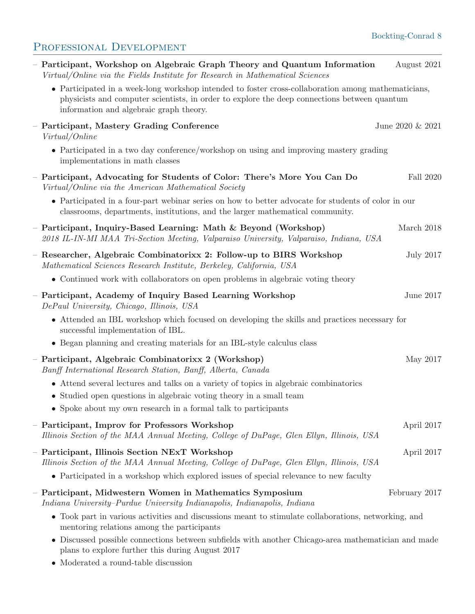# Bockting-Conrad 8

# PROFESSIONAL DEVELOPMENT

| - Participant, Workshop on Algebraic Graph Theory and Quantum Information<br>Virtual/Online via the Fields Institute for Research in Mathematical Sciences                                                                                     | August 2021      |
|------------------------------------------------------------------------------------------------------------------------------------------------------------------------------------------------------------------------------------------------|------------------|
| • Participated in a week-long workshop intended to foster cross-collaboration among mathematicians,<br>physicists and computer scientists, in order to explore the deep connections between quantum<br>information and algebraic graph theory. |                  |
| - Participant, Mastery Grading Conference<br>Virtual/Online                                                                                                                                                                                    | June 2020 & 2021 |
| • Participated in a two day conference/workshop on using and improving mastery grading<br>implementations in math classes                                                                                                                      |                  |
| - Participant, Advocating for Students of Color: There's More You Can Do<br>Virtual/Online via the American Mathematical Society                                                                                                               | Fall 2020        |
| • Participated in a four-part weblinar series on how to better advocate for students of color in our<br>classrooms, departments, institutions, and the larger mathematical community.                                                          |                  |
| - Participant, Inquiry-Based Learning: Math $\&$ Beyond (Workshop)<br>2018 IL-IN-MI MAA Tri-Section Meeting, Valparaiso University, Valparaiso, Indiana, USA                                                                                   | March 2018       |
| - Researcher, Algebraic Combinatorix 2: Follow-up to BIRS Workshop<br>Mathematical Sciences Research Institute, Berkeley, California, USA                                                                                                      | <b>July 2017</b> |
| • Continued work with collaborators on open problems in algebraic voting theory                                                                                                                                                                |                  |
| - Participant, Academy of Inquiry Based Learning Workshop<br>DePaul University, Chicago, Illinois, USA                                                                                                                                         | June 2017        |
| • Attended an IBL workshop which focused on developing the skills and practices necessary for<br>successful implementation of IBL.                                                                                                             |                  |
| • Began planning and creating materials for an IBL-style calculus class                                                                                                                                                                        |                  |
| - Participant, Algebraic Combinatorixx 2 (Workshop)<br>Banff International Research Station, Banff, Alberta, Canada                                                                                                                            | May 2017         |
| • Attend several lectures and talks on a variety of topics in algebraic combinatorics                                                                                                                                                          |                  |
| • Studied open questions in algebraic voting theory in a small team                                                                                                                                                                            |                  |
| $\bullet\,$ Spoke about my own research in a formal talk to participants                                                                                                                                                                       |                  |
| - Participant, Improv for Professors Workshop<br>Illinois Section of the MAA Annual Meeting, College of DuPage, Glen Ellyn, Illinois, USA                                                                                                      | April 2017       |
| - Participant, Illinois Section NExT Workshop<br>Illinois Section of the MAA Annual Meeting, College of DuPage, Glen Ellyn, Illinois, USA                                                                                                      | April 2017       |
| • Participated in a workshop which explored issues of special relevance to new faculty                                                                                                                                                         |                  |
| - Participant, Midwestern Women in Mathematics Symposium<br>Indiana University-Purdue University Indianapolis, Indianapolis, Indiana                                                                                                           | February 2017    |
| • Took part in various activities and discussions meant to stimulate collaborations, networking, and<br>mentoring relations among the participants                                                                                             |                  |
| • Discussed possible connections between subfields with another Chicago-area mathematician and made<br>plans to explore further this during August 2017                                                                                        |                  |

 $\bullet\,$  Moderated a round-table discussion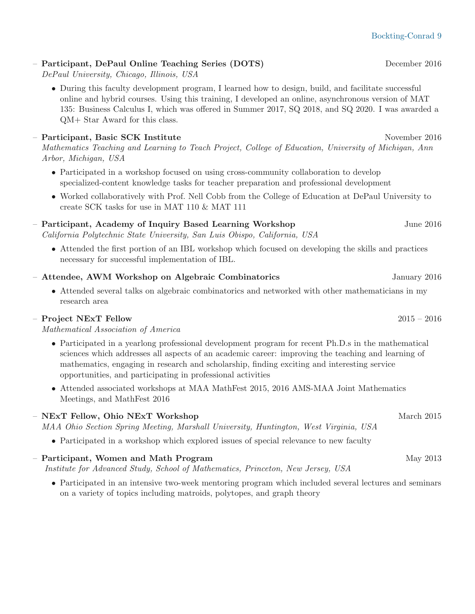### – Participant, DePaul Online Teaching Series (DOTS) December 2016

DePaul University, Chicago, Illinois, USA

• During this faculty development program, I learned how to design, build, and facilitate successful online and hybrid courses. Using this training, I developed an online, asynchronous version of MAT 135: Business Calculus I, which was offered in Summer 2017, SQ 2018, and SQ 2020. I was awarded a QM+ Star Award for this class.

### – Participant, Basic SCK Institute November 2016

Mathematics Teaching and Learning to Teach Project, College of Education, University of Michigan, Ann Arbor, Michigan, USA

- Participated in a workshop focused on using cross-community collaboration to develop specialized-content knowledge tasks for teacher preparation and professional development
- Worked collaboratively with Prof. Nell Cobb from the College of Education at DePaul University to create SCK tasks for use in MAT 110 & MAT 111

# – Participant, Academy of Inquiry Based Learning Workshop June 2016

California Polytechnic State University, San Luis Obispo, California, USA

• Attended the first portion of an IBL workshop which focused on developing the skills and practices necessary for successful implementation of IBL.

### – Attendee, AWM Workshop on Algebraic Combinatorics January 2016

• Attended several talks on algebraic combinatorics and networked with other mathematicians in my research area

### $-$  Project NExT Fellow  $2015 - 2016$

Mathematical Association of America

- Participated in a yearlong professional development program for recent Ph.D.s in the mathematical sciences which addresses all aspects of an academic career: improving the teaching and learning of mathematics, engaging in research and scholarship, finding exciting and interesting service opportunities, and participating in professional activities
- Attended associated workshops at MAA MathFest 2015, 2016 AMS-MAA Joint Mathematics Meetings, and MathFest 2016

#### – NExT Fellow, Ohio NExT Workshop March 2015

MAA Ohio Section Spring Meeting, Marshall University, Huntington, West Virginia, USA

• Participated in a workshop which explored issues of special relevance to new faculty

# $-$  Participant, Women and Math Program  $\text{May } 2013$

[Institute for Advanced Study, School of Mathematics,](http://www.math.ias.edu/wam/) Princeton, New Jersey, USA

• Participated in an intensive two-week mentoring program which included several lectures and seminars on a variety of topics including matroids, polytopes, and graph theory